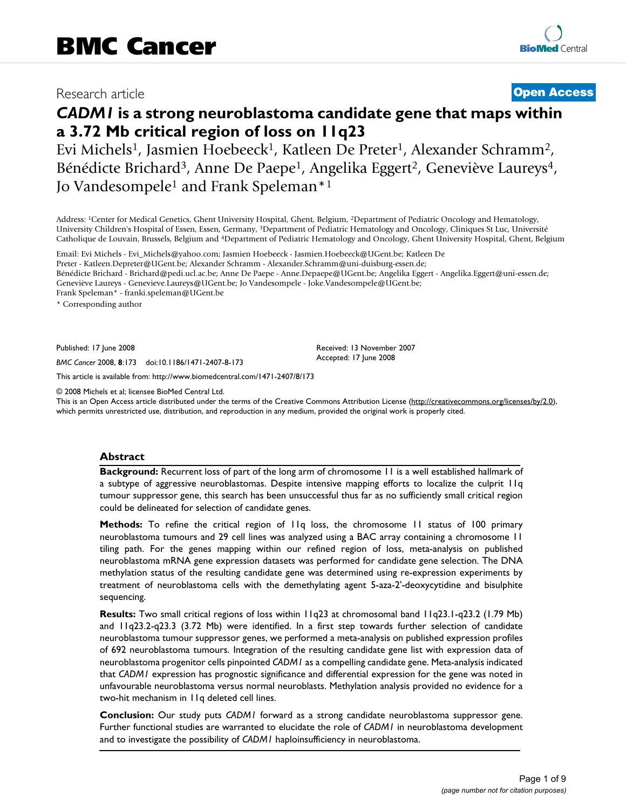## Research article **[Open Access](http://www.biomedcentral.com/info/about/charter/)**

# *CADM1* **is a strong neuroblastoma candidate gene that maps within a 3.72 Mb critical region of loss on 11q23**

Evi Michels1, Jasmien Hoebeeck1, Katleen De Preter1, Alexander Schramm2, Bénédicte Brichard<sup>3</sup>, Anne De Paepe<sup>1</sup>, Angelika Eggert<sup>2</sup>, Geneviève Laureys<sup>4</sup>, Jo Vandesompele<sup>1</sup> and Frank Speleman<sup>\*1</sup>

Address: 1Center for Medical Genetics, Ghent University Hospital, Ghent, Belgium, 2Department of Pediatric Oncology and Hematology, University Children's Hospital of Essen, Essen, Germany, 3Department of Pediatric Hematology and Oncology, Cliniques St Luc, Université Catholique de Louvain, Brussels, Belgium and 4Department of Pediatric Hematology and Oncology, Ghent University Hospital, Ghent, Belgium

Email: Evi Michels - Evi\_Michels@yahoo.com; Jasmien Hoebeeck - Jasmien.Hoebeeck@UGent.be; Katleen De Preter - Katleen.Depreter@UGent.be; Alexander Schramm - Alexander.Schramm@uni-duisburg-essen.de; Bénédicte Brichard - Brichard@pedi.ucl.ac.be; Anne De Paepe - Anne.Depaepe@UGent.be; Angelika Eggert - Angelika.Eggert@uni-essen.de; Geneviève Laureys - Genevieve.Laureys@UGent.be; Jo Vandesompele - Joke.Vandesompele@UGent.be; Frank Speleman\* - franki.speleman@UGent.be

\* Corresponding author

Published: 17 June 2008

*BMC Cancer* 2008, **8**:173 doi:10.1186/1471-2407-8-173

[This article is available from: http://www.biomedcentral.com/1471-2407/8/173](http://www.biomedcentral.com/1471-2407/8/173)

© 2008 Michels et al; licensee BioMed Central Ltd.

This is an Open Access article distributed under the terms of the Creative Commons Attribution License [\(http://creativecommons.org/licenses/by/2.0\)](http://creativecommons.org/licenses/by/2.0), which permits unrestricted use, distribution, and reproduction in any medium, provided the original work is properly cited.

Received: 13 November 2007 Accepted: 17 June 2008

#### **Abstract**

**Background:** Recurrent loss of part of the long arm of chromosome 11 is a well established hallmark of a subtype of aggressive neuroblastomas. Despite intensive mapping efforts to localize the culprit 11q tumour suppressor gene, this search has been unsuccessful thus far as no sufficiently small critical region could be delineated for selection of candidate genes.

**Methods:** To refine the critical region of 11q loss, the chromosome 11 status of 100 primary neuroblastoma tumours and 29 cell lines was analyzed using a BAC array containing a chromosome 11 tiling path. For the genes mapping within our refined region of loss, meta-analysis on published neuroblastoma mRNA gene expression datasets was performed for candidate gene selection. The DNA methylation status of the resulting candidate gene was determined using re-expression experiments by treatment of neuroblastoma cells with the demethylating agent 5-aza-2'-deoxycytidine and bisulphite sequencing.

**Results:** Two small critical regions of loss within 11q23 at chromosomal band 11q23.1-q23.2 (1.79 Mb) and 11q23.2-q23.3 (3.72 Mb) were identified. In a first step towards further selection of candidate neuroblastoma tumour suppressor genes, we performed a meta-analysis on published expression profiles of 692 neuroblastoma tumours. Integration of the resulting candidate gene list with expression data of neuroblastoma progenitor cells pinpointed *CADM1* as a compelling candidate gene. Meta-analysis indicated that *CADM1* expression has prognostic significance and differential expression for the gene was noted in unfavourable neuroblastoma versus normal neuroblasts. Methylation analysis provided no evidence for a two-hit mechanism in 11q deleted cell lines.

**Conclusion:** Our study puts *CADM1* forward as a strong candidate neuroblastoma suppressor gene. Further functional studies are warranted to elucidate the role of *CADM1* in neuroblastoma development and to investigate the possibility of *CADM1* haploinsufficiency in neuroblastoma.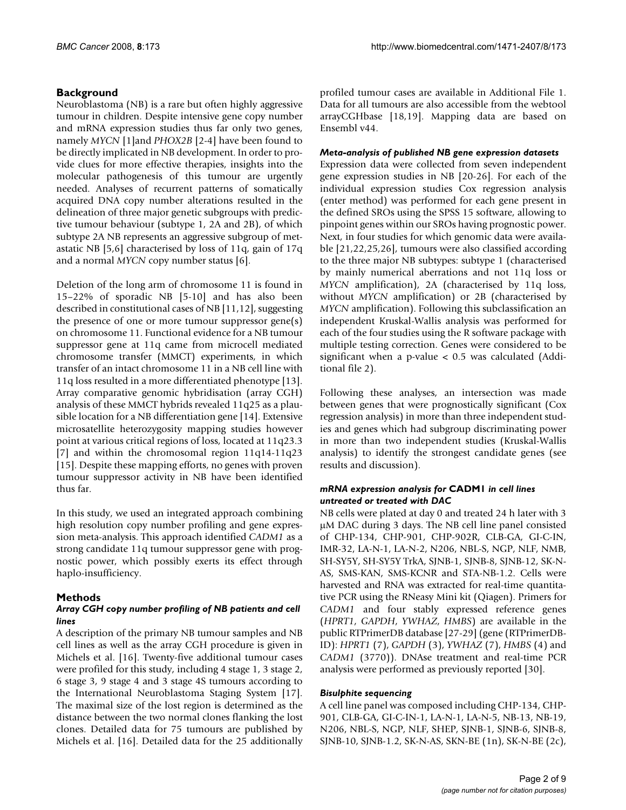#### **Background**

Neuroblastoma (NB) is a rare but often highly aggressive tumour in children. Despite intensive gene copy number and mRNA expression studies thus far only two genes, namely *MYCN* [1]and *PHOX2B* [2-4] have been found to be directly implicated in NB development. In order to provide clues for more effective therapies, insights into the molecular pathogenesis of this tumour are urgently needed. Analyses of recurrent patterns of somatically acquired DNA copy number alterations resulted in the delineation of three major genetic subgroups with predictive tumour behaviour (subtype 1, 2A and 2B), of which subtype 2A NB represents an aggressive subgroup of metastatic NB [5,6] characterised by loss of 11q, gain of 17q and a normal *MYCN* copy number status [6].

Deletion of the long arm of chromosome 11 is found in 15–22% of sporadic NB [5-10] and has also been described in constitutional cases of NB [11,12], suggesting the presence of one or more tumour suppressor gene(s) on chromosome 11. Functional evidence for a NB tumour suppressor gene at 11q came from microcell mediated chromosome transfer (MMCT) experiments, in which transfer of an intact chromosome 11 in a NB cell line with 11q loss resulted in a more differentiated phenotype [13]. Array comparative genomic hybridisation (array CGH) analysis of these MMCT hybrids revealed 11q25 as a plausible location for a NB differentiation gene [14]. Extensive microsatellite heterozygosity mapping studies however point at various critical regions of loss, located at 11q23.3 [7] and within the chromosomal region 11q14-11q23 [15]. Despite these mapping efforts, no genes with proven tumour suppressor activity in NB have been identified thus far.

In this study, we used an integrated approach combining high resolution copy number profiling and gene expression meta-analysis. This approach identified *CADM1* as a strong candidate 11q tumour suppressor gene with prognostic power, which possibly exerts its effect through haplo-insufficiency.

#### **Methods**

#### *Array CGH copy number profiling of NB patients and cell lines*

A description of the primary NB tumour samples and NB cell lines as well as the array CGH procedure is given in Michels et al. [16]. Twenty-five additional tumour cases were profiled for this study, including 4 stage 1, 3 stage 2, 6 stage 3, 9 stage 4 and 3 stage 4S tumours according to the International Neuroblastoma Staging System [17]. The maximal size of the lost region is determined as the distance between the two normal clones flanking the lost clones. Detailed data for 75 tumours are published by Michels et al. [16]. Detailed data for the 25 additionally profiled tumour cases are available in Additional File 1. Data for all tumours are also accessible from the webtool arrayCGHbase [18,19]. Mapping data are based on Ensembl v44.

#### *Meta-analysis of published NB gene expression datasets*

Expression data were collected from seven independent gene expression studies in NB [20-26]. For each of the individual expression studies Cox regression analysis (enter method) was performed for each gene present in the defined SROs using the SPSS 15 software, allowing to pinpoint genes within our SROs having prognostic power. Next, in four studies for which genomic data were available [21,22,25,26], tumours were also classified according to the three major NB subtypes: subtype 1 (characterised by mainly numerical aberrations and not 11q loss or *MYCN* amplification), 2A (characterised by 11q loss, without *MYCN* amplification) or 2B (characterised by *MYCN* amplification). Following this subclassification an independent Kruskal-Wallis analysis was performed for each of the four studies using the R software package with multiple testing correction. Genes were considered to be significant when a p-value < 0.5 was calculated (Additional file 2).

Following these analyses, an intersection was made between genes that were prognostically significant (Cox regression analysis) in more than three independent studies and genes which had subgroup discriminating power in more than two independent studies (Kruskal-Wallis analysis) to identify the strongest candidate genes (see results and discussion).

#### *mRNA expression analysis for* **CADM1** *in cell lines untreated or treated with DAC*

NB cells were plated at day 0 and treated 24 h later with 3 μM DAC during 3 days. The NB cell line panel consisted of CHP-134, CHP-901, CHP-902R, CLB-GA, GI-C-IN, IMR-32, LA-N-1, LA-N-2, N206, NBL-S, NGP, NLF, NMB, SH-SY5Y, SH-SY5Y TrkA, SJNB-1, SJNB-8, SJNB-12, SK-N-AS, SMS-KAN, SMS-KCNR and STA-NB-1.2. Cells were harvested and RNA was extracted for real-time quantitative PCR using the RNeasy Mini kit (Qiagen). Primers for *CADM1* and four stably expressed reference genes (*HPRT1*, *GAPDH*, *YWHAZ*, *HMBS*) are available in the public RTPrimerDB database [27-29] (gene (RTPrimerDB-ID): *HPRT1* (7), *GAPDH* (3), *YWHAZ* (7), *HMBS* (4) and *CADM1* (3770)). DNAse treatment and real-time PCR analysis were performed as previously reported [30].

#### *Bisulphite sequencing*

A cell line panel was composed including CHP-134, CHP-901, CLB-GA, GI-C-IN-1, LA-N-1, LA-N-5, NB-13, NB-19, N206, NBL-S, NGP, NLF, SHEP, SJNB-1, SJNB-6, SJNB-8, SJNB-10, SJNB-1.2, SK-N-AS, SKN-BE (1n), SK-N-BE (2c),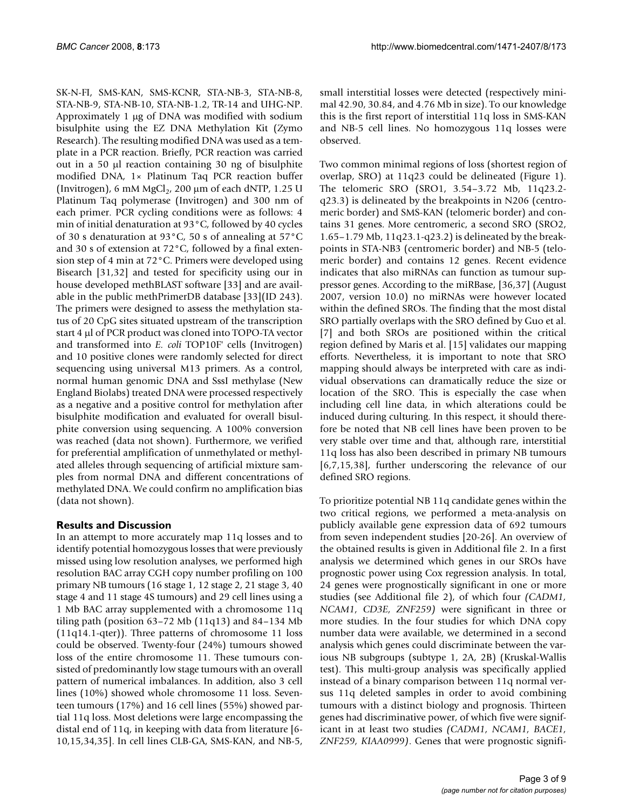SK-N-FI, SMS-KAN, SMS-KCNR, STA-NB-3, STA-NB-8, STA-NB-9, STA-NB-10, STA-NB-1.2, TR-14 and UHG-NP. Approximately 1 μg of DNA was modified with sodium bisulphite using the EZ DNA Methylation Kit (Zymo Research). The resulting modified DNA was used as a template in a PCR reaction. Briefly, PCR reaction was carried out in a 50 μl reaction containing 30 ng of bisulphite modified DNA, 1× Platinum Taq PCR reaction buffer (Invitrogen), 6 mM MgCl<sub>2</sub>, 200  $\mu$ m of each dNTP, 1.25 U Platinum Taq polymerase (Invitrogen) and 300 nm of each primer. PCR cycling conditions were as follows: 4 min of initial denaturation at 93°C, followed by 40 cycles of 30 s denaturation at 93°C, 50 s of annealing at 57°C and 30 s of extension at 72°C, followed by a final extension step of 4 min at 72°C. Primers were developed using Bisearch [31,32] and tested for specificity using our in house developed methBLAST software [33] and are available in the public methPrimerDB database [33](ID 243). The primers were designed to assess the methylation status of 20 CpG sites situated upstream of the transcription start 4 μl of PCR product was cloned into TOPO-TA vector and transformed into *E. coli* TOP10F' cells (Invitrogen) and 10 positive clones were randomly selected for direct sequencing using universal M13 primers. As a control, normal human genomic DNA and SssI methylase (New England Biolabs) treated DNA were processed respectively as a negative and a positive control for methylation after bisulphite modification and evaluated for overall bisulphite conversion using sequencing. A 100% conversion was reached (data not shown). Furthermore, we verified for preferential amplification of unmethylated or methylated alleles through sequencing of artificial mixture samples from normal DNA and different concentrations of methylated DNA. We could confirm no amplification bias (data not shown).

### **Results and Discussion**

In an attempt to more accurately map 11q losses and to identify potential homozygous losses that were previously missed using low resolution analyses, we performed high resolution BAC array CGH copy number profiling on 100 primary NB tumours (16 stage 1, 12 stage 2, 21 stage 3, 40 stage 4 and 11 stage 4S tumours) and 29 cell lines using a 1 Mb BAC array supplemented with a chromosome 11q tiling path (position 63–72 Mb (11q13) and 84–134 Mb (11q14.1-qter)). Three patterns of chromosome 11 loss could be observed. Twenty-four (24%) tumours showed loss of the entire chromosome 11. These tumours consisted of predominantly low stage tumours with an overall pattern of numerical imbalances. In addition, also 3 cell lines (10%) showed whole chromosome 11 loss. Seventeen tumours (17%) and 16 cell lines (55%) showed partial 11q loss. Most deletions were large encompassing the distal end of 11q, in keeping with data from literature [6- 10,15,34,35]. In cell lines CLB-GA, SMS-KAN, and NB-5,

small interstitial losses were detected (respectively minimal 42.90, 30.84, and 4.76 Mb in size). To our knowledge this is the first report of interstitial 11q loss in SMS-KAN and NB-5 cell lines. No homozygous 11q losses were observed.

Two common minimal regions of loss (shortest region of overlap, SRO) at 11q23 could be delineated (Figure 1). The telomeric SRO (SRO1, 3.54–3.72 Mb, 11q23.2 q23.3) is delineated by the breakpoints in N206 (centromeric border) and SMS-KAN (telomeric border) and contains 31 genes. More centromeric, a second SRO (SRO2, 1.65–1.79 Mb, 11q23.1-q23.2) is delineated by the breakpoints in STA-NB3 (centromeric border) and NB-5 (telomeric border) and contains 12 genes. Recent evidence indicates that also miRNAs can function as tumour suppressor genes. According to the miRBase, [36,37] (August 2007, version 10.0) no miRNAs were however located within the defined SROs. The finding that the most distal SRO partially overlaps with the SRO defined by Guo et al. [7] and both SROs are positioned within the critical region defined by Maris et al. [15] validates our mapping efforts. Nevertheless, it is important to note that SRO mapping should always be interpreted with care as individual observations can dramatically reduce the size or location of the SRO. This is especially the case when including cell line data, in which alterations could be induced during culturing. In this respect, it should therefore be noted that NB cell lines have been proven to be very stable over time and that, although rare, interstitial 11q loss has also been described in primary NB tumours [6,7,15,38], further underscoring the relevance of our defined SRO regions.

To prioritize potential NB 11q candidate genes within the two critical regions, we performed a meta-analysis on publicly available gene expression data of 692 tumours from seven independent studies [20-26]. An overview of the obtained results is given in Additional file 2. In a first analysis we determined which genes in our SROs have prognostic power using Cox regression analysis. In total, 24 genes were prognostically significant in one or more studies (see Additional file 2), of which four *(CADM1, NCAM1, CD3E, ZNF259)* were significant in three or more studies. In the four studies for which DNA copy number data were available, we determined in a second analysis which genes could discriminate between the various NB subgroups (subtype 1, 2A, 2B) (Kruskal-Wallis test). This multi-group analysis was specifically applied instead of a binary comparison between 11q normal versus 11q deleted samples in order to avoid combining tumours with a distinct biology and prognosis. Thirteen genes had discriminative power, of which five were significant in at least two studies *(CADM1, NCAM1, BACE1, ZNF259, KIAA0999)*. Genes that were prognostic signifi-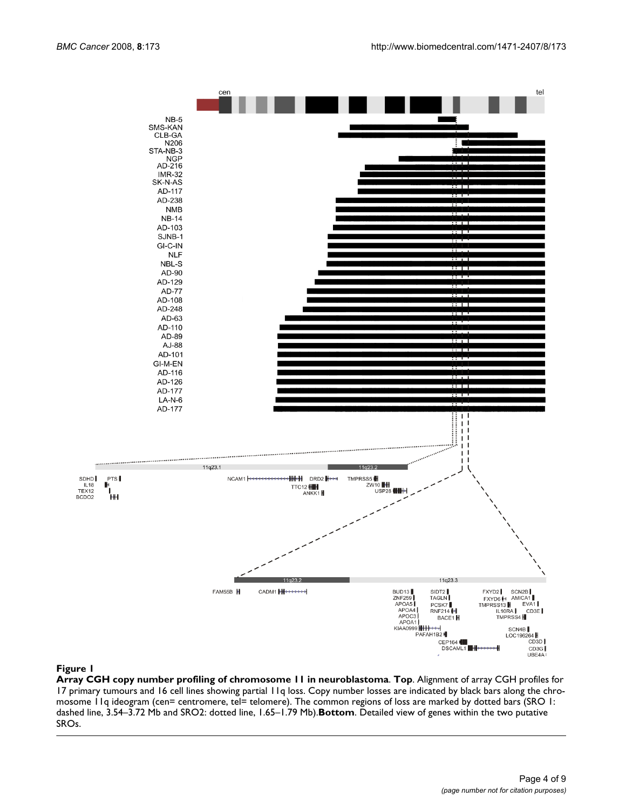

#### **Figure 1**

**Array CGH copy number profiling of chromosome 11 in neuroblastoma**. **Top**. Alignment of array CGH profiles for 17 primary tumours and 16 cell lines showing partial 11q loss. Copy number losses are indicated by black bars along the chromosome 11q ideogram (cen= centromere, tel= telomere). The common regions of loss are marked by dotted bars (SRO 1: dashed line, 3.54–3.72 Mb and SRO2: dotted line, 1.65–1.79 Mb).**Bottom**. Detailed view of genes within the two putative SROs.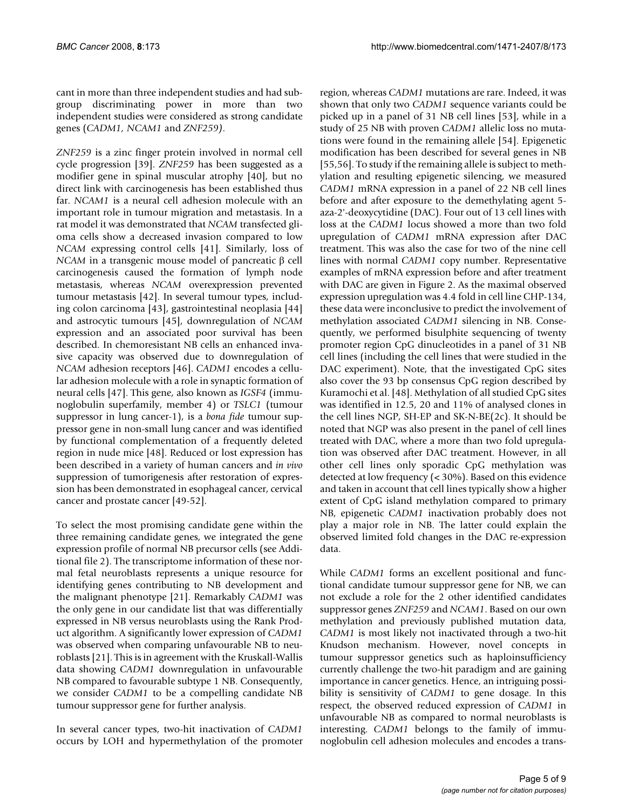cant in more than three independent studies and had subgroup discriminating power in more than two independent studies were considered as strong candidate genes (*CADM1, NCAM1* and *ZNF259)*.

*ZNF259* is a zinc finger protein involved in normal cell cycle progression [39]. *ZNF259* has been suggested as a modifier gene in spinal muscular atrophy [40], but no direct link with carcinogenesis has been established thus far. *NCAM1* is a neural cell adhesion molecule with an important role in tumour migration and metastasis. In a rat model it was demonstrated that *NCAM* transfected glioma cells show a decreased invasion compared to low *NCAM* expressing control cells [41]. Similarly, loss of *NCAM* in a transgenic mouse model of pancreatic β cell carcinogenesis caused the formation of lymph node metastasis, whereas *NCAM* overexpression prevented tumour metastasis [42]. In several tumour types, including colon carcinoma [43], gastrointestinal neoplasia [44] and astrocytic tumours [45], downregulation of *NCAM* expression and an associated poor survival has been described. In chemoresistant NB cells an enhanced invasive capacity was observed due to downregulation of *NCAM* adhesion receptors [46]. *CADM1* encodes a cellular adhesion molecule with a role in synaptic formation of neural cells [47]. This gene, also known as *IGSF4* (immunoglobulin superfamily, member 4) or *TSLC1* (tumour suppressor in lung cancer-1), is a *bona fide* tumour suppressor gene in non-small lung cancer and was identified by functional complementation of a frequently deleted region in nude mice [48]. Reduced or lost expression has been described in a variety of human cancers and *in vivo* suppression of tumorigenesis after restoration of expression has been demonstrated in esophageal cancer, cervical cancer and prostate cancer [49-52].

To select the most promising candidate gene within the three remaining candidate genes, we integrated the gene expression profile of normal NB precursor cells (see Additional file 2). The transcriptome information of these normal fetal neuroblasts represents a unique resource for identifying genes contributing to NB development and the malignant phenotype [21]. Remarkably *CADM1* was the only gene in our candidate list that was differentially expressed in NB versus neuroblasts using the Rank Product algorithm. A significantly lower expression of *CADM1* was observed when comparing unfavourable NB to neuroblasts [21]. This is in agreement with the Kruskall-Wallis data showing *CADM1* downregulation in unfavourable NB compared to favourable subtype 1 NB. Consequently, we consider *CADM1* to be a compelling candidate NB tumour suppressor gene for further analysis.

In several cancer types, two-hit inactivation of *CADM1* occurs by LOH and hypermethylation of the promoter region, whereas *CADM1* mutations are rare. Indeed, it was shown that only two *CADM1* sequence variants could be picked up in a panel of 31 NB cell lines [53], while in a study of 25 NB with proven *CADM1* allelic loss no mutations were found in the remaining allele [54]. Epigenetic modification has been described for several genes in NB [55,56]. To study if the remaining allele is subject to methylation and resulting epigenetic silencing, we measured *CADM1* mRNA expression in a panel of 22 NB cell lines before and after exposure to the demethylating agent 5 aza-2'-deoxycytidine (DAC). Four out of 13 cell lines with loss at the *CADM1* locus showed a more than two fold upregulation of *CADM1* mRNA expression after DAC treatment. This was also the case for two of the nine cell lines with normal *CADM1* copy number. Representative examples of mRNA expression before and after treatment with DAC are given in Figure 2. As the maximal observed expression upregulation was 4.4 fold in cell line CHP-134, these data were inconclusive to predict the involvement of methylation associated *CADM1* silencing in NB. Consequently, we performed bisulphite sequencing of twenty promoter region CpG dinucleotides in a panel of 31 NB cell lines (including the cell lines that were studied in the DAC experiment). Note, that the investigated CpG sites also cover the 93 bp consensus CpG region described by Kuramochi et al. [48]. Methylation of all studied CpG sites was identified in 12.5, 20 and 11% of analysed clones in the cell lines NGP, SH-EP and SK-N-BE(2c). It should be noted that NGP was also present in the panel of cell lines treated with DAC, where a more than two fold upregulation was observed after DAC treatment. However, in all other cell lines only sporadic CpG methylation was detected at low frequency (< 30%). Based on this evidence and taken in account that cell lines typically show a higher extent of CpG island methylation compared to primary NB, epigenetic *CADM1* inactivation probably does not play a major role in NB. The latter could explain the observed limited fold changes in the DAC re-expression data.

While *CADM1* forms an excellent positional and functional candidate tumour suppressor gene for NB, we can not exclude a role for the 2 other identified candidates suppressor genes *ZNF259* and *NCAM1*. Based on our own methylation and previously published mutation data, *CADM1* is most likely not inactivated through a two-hit Knudson mechanism. However, novel concepts in tumour suppressor genetics such as haploinsufficiency currently challenge the two-hit paradigm and are gaining importance in cancer genetics. Hence, an intriguing possibility is sensitivity of *CADM1* to gene dosage. In this respect, the observed reduced expression of *CADM1* in unfavourable NB as compared to normal neuroblasts is interesting. *CADM1* belongs to the family of immunoglobulin cell adhesion molecules and encodes a trans-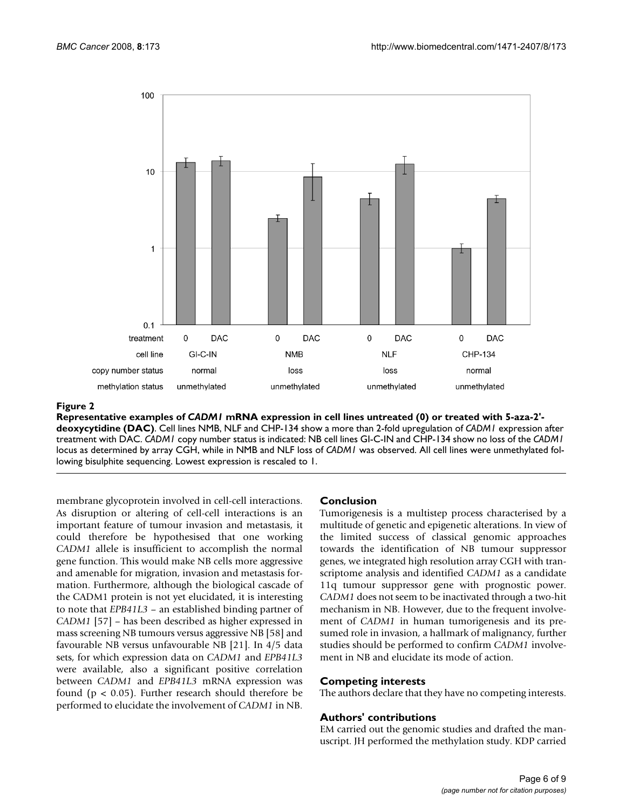

#### Representative examples of **Figure 2** *CADM1* mRNA expression in cell lines untreated (0) or treated with 5-aza-2'-deoxycytidine (DAC)

**Representative examples of** *CADM1* **mRNA expression in cell lines untreated (0) or treated with 5-aza-2' deoxycytidine (DAC)**. Cell lines NMB, NLF and CHP-134 show a more than 2-fold upregulation of *CADM1* expression after treatment with DAC. *CADM1* copy number status is indicated: NB cell lines GI-C-IN and CHP-134 show no loss of the *CADM1*  locus as determined by array CGH, while in NMB and NLF loss of *CADM1* was observed. All cell lines were unmethylated following bisulphite sequencing. Lowest expression is rescaled to 1.

membrane glycoprotein involved in cell-cell interactions. As disruption or altering of cell-cell interactions is an important feature of tumour invasion and metastasis, it could therefore be hypothesised that one working *CADM1* allele is insufficient to accomplish the normal gene function. This would make NB cells more aggressive and amenable for migration, invasion and metastasis formation. Furthermore, although the biological cascade of the CADM1 protein is not yet elucidated, it is interesting to note that *EPB41L3* – an established binding partner of *CADM1* [57] – has been described as higher expressed in mass screening NB tumours versus aggressive NB [58] and favourable NB versus unfavourable NB [21]. In 4/5 data sets, for which expression data on *CADM1* and *EPB41L3* were available, also a significant positive correlation between *CADM1* and *EPB41L3* mRNA expression was found (p < 0.05). Further research should therefore be performed to elucidate the involvement of *CADM1* in NB.

#### **Conclusion**

Tumorigenesis is a multistep process characterised by a multitude of genetic and epigenetic alterations. In view of the limited success of classical genomic approaches towards the identification of NB tumour suppressor genes, we integrated high resolution array CGH with transcriptome analysis and identified *CADM1* as a candidate 11q tumour suppressor gene with prognostic power. *CADM1* does not seem to be inactivated through a two-hit mechanism in NB. However, due to the frequent involvement of *CADM1* in human tumorigenesis and its presumed role in invasion, a hallmark of malignancy, further studies should be performed to confirm *CADM1* involvement in NB and elucidate its mode of action.

#### **Competing interests**

The authors declare that they have no competing interests.

#### **Authors' contributions**

EM carried out the genomic studies and drafted the manuscript. JH performed the methylation study. KDP carried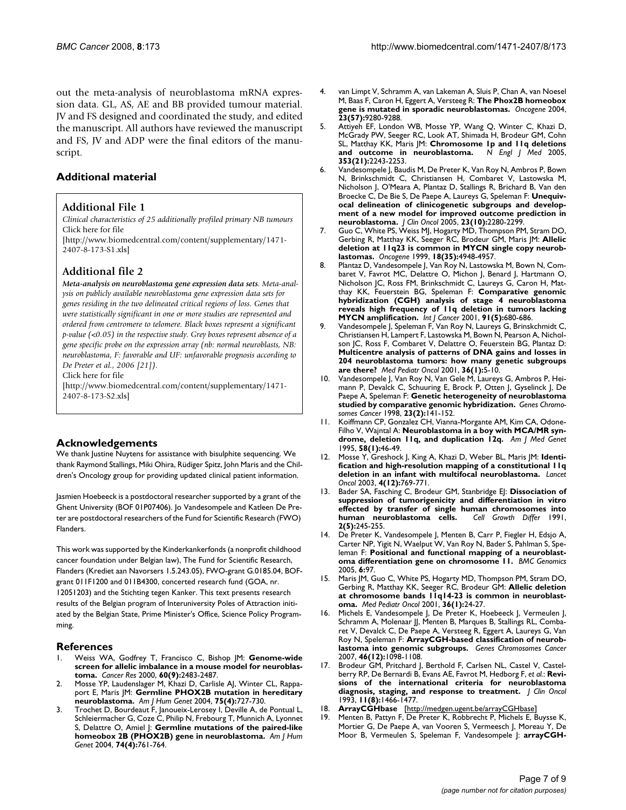out the meta-analysis of neuroblastoma mRNA expression data. GL, AS, AE and BB provided tumour material. JV and FS designed and coordinated the study, and edited the manuscript. All authors have reviewed the manuscript and FS, JV and ADP were the final editors of the manuscript.

#### **Additional material**

#### **Additional File 1**

*Clinical characteristics of 25 additionally profiled primary NB tumours* Click here for file

[\[http://www.biomedcentral.com/content/supplementary/1471-](http://www.biomedcentral.com/content/supplementary/1471-2407-8-173-S1.xls) 2407-8-173-S1.xls]

#### **Additional file 2**

*Meta-analysis on neuroblastoma gene expression data sets. Meta-analysis on publicly available neuroblastoma gene expression data sets for genes residing in the two delineated critical regions of loss. Genes that were statistically significant in one or more studies are represented and ordered from centromere to telomere. Black boxes represent a significant p-value (<0.05) in the respective study. Grey boxes represent absence of a gene specific probe on the expression array (nb: normal neuroblasts, NB: neuroblastoma, F: favorable and UF: unfavorable prognosis according to De Preter et al., 2006 [21]).*

Click here for file

[\[http://www.biomedcentral.com/content/supplementary/1471-](http://www.biomedcentral.com/content/supplementary/1471-2407-8-173-S2.xls) 2407-8-173-S2.xls]

#### **Acknowledgements**

We thank Justine Nuytens for assistance with bisulphite sequencing. We thank Raymond Stallings, Miki Ohira, Rüdiger Spitz, John Maris and the Children's Oncology group for providing updated clinical patient information.

Jasmien Hoebeeck is a postdoctoral researcher supported by a grant of the Ghent University (BOF 01P07406). Jo Vandesompele and Katleen De Preter are postdoctoral researchers of the Fund for Scientific Research (FWO) Flanders.

This work was supported by the Kinderkankerfonds (a nonprofit childhood cancer foundation under Belgian law), The Fund for Scientific Research, Flanders (Krediet aan Navorsers 1.5.243.05), FWO-grant G.0185.04, BOFgrant 011F1200 and 011B4300, concerted research fund (GOA, nr. 12051203) and the Stichting tegen Kanker. This text presents research results of the Belgian program of Interuniversity Poles of Attraction initiated by the Belgian State, Prime Minister's Office, Science Policy Programming.

#### **References**

- 1. Weiss WA, Godfrey T, Francisco C, Bishop JM: **[Genome-wide](http://www.ncbi.nlm.nih.gov/entrez/query.fcgi?cmd=Retrieve&db=PubMed&dopt=Abstract&list_uids=10811128) [screen for allelic imbalance in a mouse model for neuroblas](http://www.ncbi.nlm.nih.gov/entrez/query.fcgi?cmd=Retrieve&db=PubMed&dopt=Abstract&list_uids=10811128)[toma.](http://www.ncbi.nlm.nih.gov/entrez/query.fcgi?cmd=Retrieve&db=PubMed&dopt=Abstract&list_uids=10811128)** *Cancer Res* 2000, **60(9):**2483-2487.
- 2. Mosse YP, Laudenslager M, Khazi D, Carlisle AJ, Winter CL, Rappaport E, Maris JM: **[Germline PHOX2B mutation in hereditary](http://www.ncbi.nlm.nih.gov/entrez/query.fcgi?cmd=Retrieve&db=PubMed&dopt=Abstract&list_uids=15338462) [neuroblastoma.](http://www.ncbi.nlm.nih.gov/entrez/query.fcgi?cmd=Retrieve&db=PubMed&dopt=Abstract&list_uids=15338462)** *Am J Hum Genet* 2004, **75(4):**727-730.
- Trochet D, Bourdeaut F, Janoueix-Lerosey I, Deville A, de Pontual L, Schleiermacher G, Coze C, Philip N, Frebourg T, Munnich A, Lyonnet S, Delattre O, Amiel J: **[Germline mutations of the paired-like](http://www.ncbi.nlm.nih.gov/entrez/query.fcgi?cmd=Retrieve&db=PubMed&dopt=Abstract&list_uids=15024693) [homeobox 2B \(PHOX2B\) gene in neuroblastoma.](http://www.ncbi.nlm.nih.gov/entrez/query.fcgi?cmd=Retrieve&db=PubMed&dopt=Abstract&list_uids=15024693)** *Am J Hum Genet* 2004, **74(4):**761-764.
- 4. van Limpt V, Schramm A, van Lakeman A, Sluis P, Chan A, van Noesel M, Baas F, Caron H, Eggert A, Versteeg R: **[The Phox2B homeobox](http://www.ncbi.nlm.nih.gov/entrez/query.fcgi?cmd=Retrieve&db=PubMed&dopt=Abstract&list_uids=15516980) [gene is mutated in sporadic neuroblastomas.](http://www.ncbi.nlm.nih.gov/entrez/query.fcgi?cmd=Retrieve&db=PubMed&dopt=Abstract&list_uids=15516980)** *Oncogene* 2004, **23(57):**9280-9288.
- 5. Attiyeh EF, London WB, Mosse YP, Wang Q, Winter C, Khazi D, McGrady PW, Seeger RC, Look AT, Shimada H, Brodeur GM, Cohn SL, Matthay KK, Maris JM: **[Chromosome 1p and 11q deletions](http://www.ncbi.nlm.nih.gov/entrez/query.fcgi?cmd=Retrieve&db=PubMed&dopt=Abstract&list_uids=16306521) [and outcome in neuroblastoma.](http://www.ncbi.nlm.nih.gov/entrez/query.fcgi?cmd=Retrieve&db=PubMed&dopt=Abstract&list_uids=16306521)** *N Engl J Med* 2005, **353(21):**2243-2253.
- 6. Vandesompele J, Baudis M, De Preter K, Van Roy N, Ambros P, Bown N, Brinkschmidt C, Christiansen H, Combaret V, Lastowska M, Nicholson J, O'Meara A, Plantaz D, Stallings R, Brichard B, Van den Broecke C, De Bie S, De Paepe A, Laureys G, Speleman F: **[Unequiv](http://www.ncbi.nlm.nih.gov/entrez/query.fcgi?cmd=Retrieve&db=PubMed&dopt=Abstract&list_uids=15800319)[ocal delineation of clinicogenetic subgroups and develop](http://www.ncbi.nlm.nih.gov/entrez/query.fcgi?cmd=Retrieve&db=PubMed&dopt=Abstract&list_uids=15800319)ment of a new model for improved outcome prediction in [neuroblastoma.](http://www.ncbi.nlm.nih.gov/entrez/query.fcgi?cmd=Retrieve&db=PubMed&dopt=Abstract&list_uids=15800319)** *J Clin Oncol* 2005, **23(10):**2280-2299.
- 7. Guo C, White PS, Weiss MJ, Hogarty MD, Thompson PM, Stram DO, Gerbing R, Matthay KK, Seeger RC, Brodeur GM, Maris JM: **[Allelic](http://www.ncbi.nlm.nih.gov/entrez/query.fcgi?cmd=Retrieve&db=PubMed&dopt=Abstract&list_uids=10490829) [deletion at 11q23 is common in MYCN single copy neurob](http://www.ncbi.nlm.nih.gov/entrez/query.fcgi?cmd=Retrieve&db=PubMed&dopt=Abstract&list_uids=10490829)[lastomas.](http://www.ncbi.nlm.nih.gov/entrez/query.fcgi?cmd=Retrieve&db=PubMed&dopt=Abstract&list_uids=10490829)** *Oncogene* 1999, **18(35):**4948-4957.
- 8. Plantaz D, Vandesompele J, Van Roy N, Lastowska M, Bown N, Combaret V, Favrot MC, Delattre O, Michon J, Benard J, Hartmann O, Nicholson JC, Ross FM, Brinkschmidt C, Laureys G, Caron H, Matthay KK, Feuerstein BG, Speleman F: **[Comparative genomic](http://www.ncbi.nlm.nih.gov/entrez/query.fcgi?cmd=Retrieve&db=PubMed&dopt=Abstract&list_uids=11267980) [hybridization \(CGH\) analysis of stage 4 neuroblastoma](http://www.ncbi.nlm.nih.gov/entrez/query.fcgi?cmd=Retrieve&db=PubMed&dopt=Abstract&list_uids=11267980) reveals high frequency of 11q deletion in tumors lacking [MYCN amplification.](http://www.ncbi.nlm.nih.gov/entrez/query.fcgi?cmd=Retrieve&db=PubMed&dopt=Abstract&list_uids=11267980)** *Int J Cancer* 2001, **91(5):**680-686.
- Vandesompele J, Speleman F, Van Roy N, Laureys G, Brinskchmidt C, Christiansen H, Lampert F, Lastowska M, Bown N, Pearson A, Nicholson JC, Ross F, Combaret V, Delattre O, Feuerstein BG, Plantaz D: **[Multicentre analysis of patterns of DNA gains and losses in](http://www.ncbi.nlm.nih.gov/entrez/query.fcgi?cmd=Retrieve&db=PubMed&dopt=Abstract&list_uids=11464905) 204 neuroblastoma tumors: how many genetic subgroups [are there?](http://www.ncbi.nlm.nih.gov/entrez/query.fcgi?cmd=Retrieve&db=PubMed&dopt=Abstract&list_uids=11464905)** *Med Pediatr Oncol* 2001, **36(1):**5-10.
- 10. Vandesompele J, Van Roy N, Van Gele M, Laureys G, Ambros P, Heimann P, Devalck C, Schuuring E, Brock P, Otten J, Gyselinck J, De Paepe A, Speleman F: **[Genetic heterogeneity of neuroblastoma](http://www.ncbi.nlm.nih.gov/entrez/query.fcgi?cmd=Retrieve&db=PubMed&dopt=Abstract&list_uids=9739017) [studied by comparative genomic hybridization.](http://www.ncbi.nlm.nih.gov/entrez/query.fcgi?cmd=Retrieve&db=PubMed&dopt=Abstract&list_uids=9739017)** *Genes Chromosomes Cancer* 1998, **23(2):**141-152.
- 11. Koiffmann CP, Gonzalez CH, Vianna-Morgante AM, Kim CA, Odone-Filho V, Wajntal A: **[Neuroblastoma in a boy with MCA/MR syn](http://www.ncbi.nlm.nih.gov/entrez/query.fcgi?cmd=Retrieve&db=PubMed&dopt=Abstract&list_uids=7573155)[drome, deletion 11q, and duplication 12q.](http://www.ncbi.nlm.nih.gov/entrez/query.fcgi?cmd=Retrieve&db=PubMed&dopt=Abstract&list_uids=7573155)** *Am J Med Genet* 1995, **58(1):**46-49.
- 12. Mosse Y, Greshock J, King A, Khazi D, Weber BL, Maris JM: **[Identi](http://www.ncbi.nlm.nih.gov/entrez/query.fcgi?cmd=Retrieve&db=PubMed&dopt=Abstract&list_uids=14662434)[fication and high-resolution mapping of a constitutional 11q](http://www.ncbi.nlm.nih.gov/entrez/query.fcgi?cmd=Retrieve&db=PubMed&dopt=Abstract&list_uids=14662434) [deletion in an infant with multifocal neuroblastoma.](http://www.ncbi.nlm.nih.gov/entrez/query.fcgi?cmd=Retrieve&db=PubMed&dopt=Abstract&list_uids=14662434)** *Lancet Oncol* 2003, **4(12):**769-771.
- 13. Bader SA, Fasching C, Brodeur GM, Stanbridge EJ: **[Dissociation of](http://www.ncbi.nlm.nih.gov/entrez/query.fcgi?cmd=Retrieve&db=PubMed&dopt=Abstract&list_uids=1679663) [suppression of tumorigenicity and differentiation in vitro](http://www.ncbi.nlm.nih.gov/entrez/query.fcgi?cmd=Retrieve&db=PubMed&dopt=Abstract&list_uids=1679663) effected by transfer of single human chromosomes into** [human neuroblastoma cells.](http://www.ncbi.nlm.nih.gov/entrez/query.fcgi?cmd=Retrieve&db=PubMed&dopt=Abstract&list_uids=1679663) **2(5):**245-255.
- 14. De Preter K, Vandesompele J, Menten B, Carr P, Fiegler H, Edsjo A, Carter NP, Yigit N, Waelput W, Van Roy N, Bader S, Pahlman S, Speleman F: **[Positional and functional mapping of a neuroblast](http://www.ncbi.nlm.nih.gov/entrez/query.fcgi?cmd=Retrieve&db=PubMed&dopt=Abstract&list_uids=16000168)[oma differentiation gene on chromosome 11.](http://www.ncbi.nlm.nih.gov/entrez/query.fcgi?cmd=Retrieve&db=PubMed&dopt=Abstract&list_uids=16000168)** *BMC Genomics* 2005, **6:**97.
- 15. Maris JM, Guo C, White PS, Hogarty MD, Thompson PM, Stram DO, Gerbing R, Matthay KK, Seeger RC, Brodeur GM: **[Allelic deletion](http://www.ncbi.nlm.nih.gov/entrez/query.fcgi?cmd=Retrieve&db=PubMed&dopt=Abstract&list_uids=11464895) [at chromosome bands 11q14-23 is common in neuroblast](http://www.ncbi.nlm.nih.gov/entrez/query.fcgi?cmd=Retrieve&db=PubMed&dopt=Abstract&list_uids=11464895)[oma.](http://www.ncbi.nlm.nih.gov/entrez/query.fcgi?cmd=Retrieve&db=PubMed&dopt=Abstract&list_uids=11464895)** *Med Pediatr Oncol* 2001, **36(1):**24-27.
- 16. Michels E, Vandesompele J, De Preter K, Hoebeeck J, Vermeulen J, Schramm A, Molenaar JJ, Menten B, Marques B, Stallings RL, Combaret V, Devalck C, De Paepe A, Versteeg R, Eggert A, Laureys G, Van Roy N, Speleman F: **[ArrayCGH-based classification of neurob](http://www.ncbi.nlm.nih.gov/entrez/query.fcgi?cmd=Retrieve&db=PubMed&dopt=Abstract&list_uids=17823929)[lastoma into genomic subgroups.](http://www.ncbi.nlm.nih.gov/entrez/query.fcgi?cmd=Retrieve&db=PubMed&dopt=Abstract&list_uids=17823929)** *Genes Chromosomes Cancer* 2007, **46(12):**1098-1108.
- 17. Brodeur GM, Pritchard J, Berthold F, Carlsen NL, Castel V, Castelberry RP, De Bernardi B, Evans AE, Favrot M, Hedborg F, *et al.*: **[Revi](http://www.ncbi.nlm.nih.gov/entrez/query.fcgi?cmd=Retrieve&db=PubMed&dopt=Abstract&list_uids=8336186)[sions of the international criteria for neuroblastoma](http://www.ncbi.nlm.nih.gov/entrez/query.fcgi?cmd=Retrieve&db=PubMed&dopt=Abstract&list_uids=8336186) [diagnosis, staging, and response to treatment.](http://www.ncbi.nlm.nih.gov/entrez/query.fcgi?cmd=Retrieve&db=PubMed&dopt=Abstract&list_uids=8336186)** *J Clin Oncol* 1993, **11(8):**1466-1477.
- 18. **ArrayCGHbase** [\[http://medgen.ugent.be/arrayCGHbase\]](http://medgen.ugent.be/arrayCGHbase)
- 19. Menten B, Pattyn F, De Preter K, Robbrecht P, Michels E, Buysse K, Mortier G, De Paepe A, van Vooren S, Vermeesch J, Moreau Y, De Moor B, Vermeulen S, Speleman F, Vandesompele J: **[arrayCGH](http://www.ncbi.nlm.nih.gov/entrez/query.fcgi?cmd=Retrieve&db=PubMed&dopt=Abstract&list_uids=15910681)-**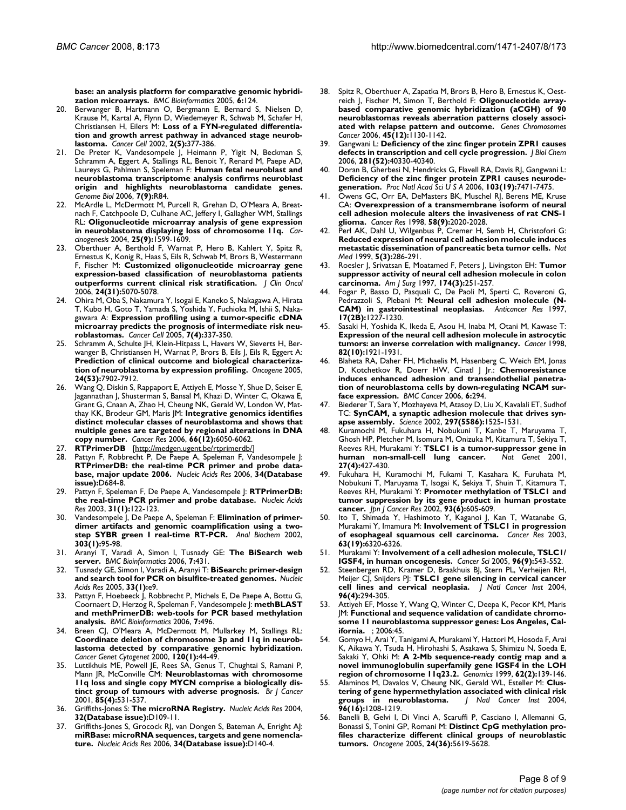**[base: an analysis platform for comparative genomic hybridi](http://www.ncbi.nlm.nih.gov/entrez/query.fcgi?cmd=Retrieve&db=PubMed&dopt=Abstract&list_uids=15910681)[zation microarrays.](http://www.ncbi.nlm.nih.gov/entrez/query.fcgi?cmd=Retrieve&db=PubMed&dopt=Abstract&list_uids=15910681)** *BMC Bioinformatics* 2005, **6:**124.

- 20. Berwanger B, Hartmann O, Bergmann E, Bernard S, Nielsen D, Krause M, Kartal A, Flynn D, Wiedemeyer R, Schwab M, Schafer H, Christiansen H, Eilers M: **[Loss of a FYN-regulated differentia](http://www.ncbi.nlm.nih.gov/entrez/query.fcgi?cmd=Retrieve&db=PubMed&dopt=Abstract&list_uids=12450793)[tion and growth arrest pathway in advanced stage neurob](http://www.ncbi.nlm.nih.gov/entrez/query.fcgi?cmd=Retrieve&db=PubMed&dopt=Abstract&list_uids=12450793)[lastoma.](http://www.ncbi.nlm.nih.gov/entrez/query.fcgi?cmd=Retrieve&db=PubMed&dopt=Abstract&list_uids=12450793)** *Cancer Cell* 2002, **2(5):**377-386.
- 21. De Preter K, Vandesompele J, Heimann P, Yigit N, Beckman S, Schramm A, Eggert A, Stallings RL, Benoit Y, Renard M, Paepe AD, Laureys G, Pahlman S, Speleman F: **[Human fetal neuroblast and](http://www.ncbi.nlm.nih.gov/entrez/query.fcgi?cmd=Retrieve&db=PubMed&dopt=Abstract&list_uids=16989664) [neuroblastoma transcriptome analysis confirms neuroblast](http://www.ncbi.nlm.nih.gov/entrez/query.fcgi?cmd=Retrieve&db=PubMed&dopt=Abstract&list_uids=16989664) origin and highlights neuroblastoma candidate genes.** *Genome Biol* 2006, **7(9):**R84.
- 22. McArdle L, McDermott M, Purcell R, Grehan D, O'Meara A, Breatnach F, Catchpoole D, Culhane AC, Jeffery I, Gallagher WM, Stallings RL: **[Oligonucleotide microarray analysis of gene expression](http://www.ncbi.nlm.nih.gov/entrez/query.fcgi?cmd=Retrieve&db=PubMed&dopt=Abstract&list_uids=15090470) [in neuroblastoma displaying loss of chromosome 11q.](http://www.ncbi.nlm.nih.gov/entrez/query.fcgi?cmd=Retrieve&db=PubMed&dopt=Abstract&list_uids=15090470)** *Carcinogenesis* 2004, **25(9):**1599-1609.
- 23. Oberthuer A, Berthold F, Warnat P, Hero B, Kahlert Y, Spitz R, Ernestus K, Konig R, Haas S, Eils R, Schwab M, Brors B, Westermann F, Fischer M: **[Customized oligonucleotide microarray gene](http://www.ncbi.nlm.nih.gov/entrez/query.fcgi?cmd=Retrieve&db=PubMed&dopt=Abstract&list_uids=17075126) [expression-based classification of neuroblastoma patients](http://www.ncbi.nlm.nih.gov/entrez/query.fcgi?cmd=Retrieve&db=PubMed&dopt=Abstract&list_uids=17075126) [outperforms current clinical risk stratification.](http://www.ncbi.nlm.nih.gov/entrez/query.fcgi?cmd=Retrieve&db=PubMed&dopt=Abstract&list_uids=17075126)** *J Clin Oncol* 2006, **24(31):**5070-5078.
- 24. Ohira M, Oba S, Nakamura Y, Isogai E, Kaneko S, Nakagawa A, Hirata T, Kubo H, Goto T, Yamada S, Yoshida Y, Fuchioka M, Ishii S, Nakagawara A: **[Expression profiling using a tumor-specific cDNA](http://www.ncbi.nlm.nih.gov/entrez/query.fcgi?cmd=Retrieve&db=PubMed&dopt=Abstract&list_uids=15837623) [microarray predicts the prognosis of intermediate risk neu](http://www.ncbi.nlm.nih.gov/entrez/query.fcgi?cmd=Retrieve&db=PubMed&dopt=Abstract&list_uids=15837623)[roblastomas.](http://www.ncbi.nlm.nih.gov/entrez/query.fcgi?cmd=Retrieve&db=PubMed&dopt=Abstract&list_uids=15837623)** *Cancer Cell* 2005, **7(4):**337-350.
- 25. Schramm A, Schulte JH, Klein-Hitpass L, Havers W, Sieverts H, Berwanger B, Christiansen H, Warnat P, Brors B, Eils J, Eils R, Eggert A: **[Prediction of clinical outcome and biological characteriza](http://www.ncbi.nlm.nih.gov/entrez/query.fcgi?cmd=Retrieve&db=PubMed&dopt=Abstract&list_uids=16103881)[tion of neuroblastoma by expression profiling.](http://www.ncbi.nlm.nih.gov/entrez/query.fcgi?cmd=Retrieve&db=PubMed&dopt=Abstract&list_uids=16103881)** *Oncogene* 2005, **24(53):**7902-7912.
- 26. Wang Q, Diskin S, Rappaport E, Attiyeh E, Mosse Y, Shue D, Seiser E, Jagannathan J, Shusterman S, Bansal M, Khazi D, Winter C, Okawa E, Grant G, Cnaan A, Zhao H, Cheung NK, Gerald W, London W, Matthay KK, Brodeur GM, Maris JM: **[Integrative genomics identifies](http://www.ncbi.nlm.nih.gov/entrez/query.fcgi?cmd=Retrieve&db=PubMed&dopt=Abstract&list_uids=16778177) [distinct molecular classes of neuroblastoma and shows that](http://www.ncbi.nlm.nih.gov/entrez/query.fcgi?cmd=Retrieve&db=PubMed&dopt=Abstract&list_uids=16778177) multiple genes are targeted by regional alterations in DNA [copy number.](http://www.ncbi.nlm.nih.gov/entrez/query.fcgi?cmd=Retrieve&db=PubMed&dopt=Abstract&list_uids=16778177)** *Cancer Res* 2006, **66(12):**6050-6062.
- 27. **RTPrimerDB** [\[http://medgen.ugent.be/rtprimerdb/\]](http://medgen.ugent.be/rtprimerdb/)
- 28. Pattyn F, Robbrecht P, De Paepe A, Speleman F, Vandesompele J: **[RTPrimerDB: the real-time PCR primer and probe data](http://www.ncbi.nlm.nih.gov/entrez/query.fcgi?cmd=Retrieve&db=PubMed&dopt=Abstract&list_uids=16381959)[base, major update 2006.](http://www.ncbi.nlm.nih.gov/entrez/query.fcgi?cmd=Retrieve&db=PubMed&dopt=Abstract&list_uids=16381959)** *Nucleic Acids Res* 2006, **34(Database issue):**D684-8.
- 29. Pattyn F, Speleman F, De Paepe A, Vandesompele J: **[RTPrimerDB:](http://www.ncbi.nlm.nih.gov/entrez/query.fcgi?cmd=Retrieve&db=PubMed&dopt=Abstract&list_uids=12519963) [the real-time PCR primer and probe database.](http://www.ncbi.nlm.nih.gov/entrez/query.fcgi?cmd=Retrieve&db=PubMed&dopt=Abstract&list_uids=12519963)** *Nucleic Acids Res* 2003, **31(1):**122-123.
- 30. Vandesompele J, De Paepe A, Speleman F: **[Elimination of primer](http://www.ncbi.nlm.nih.gov/entrez/query.fcgi?cmd=Retrieve&db=PubMed&dopt=Abstract&list_uids=11906156)[dimer artifacts and genomic coamplification using a two](http://www.ncbi.nlm.nih.gov/entrez/query.fcgi?cmd=Retrieve&db=PubMed&dopt=Abstract&list_uids=11906156)[step SYBR green I real-time RT-PCR.](http://www.ncbi.nlm.nih.gov/entrez/query.fcgi?cmd=Retrieve&db=PubMed&dopt=Abstract&list_uids=11906156)** *Anal Biochem* 2002, **303(1):**95-98.
- 31. Aranyi T, Varadi A, Simon I, Tusnady GE: **[The BiSearch web](http://www.ncbi.nlm.nih.gov/entrez/query.fcgi?cmd=Retrieve&db=PubMed&dopt=Abstract&list_uids=17022803) [server.](http://www.ncbi.nlm.nih.gov/entrez/query.fcgi?cmd=Retrieve&db=PubMed&dopt=Abstract&list_uids=17022803)** *BMC Bioinformatics* 2006, **7:**431.
- 32. Tusnady GE, Simon I, Varadi A, Aranyi T: **[BiSearch: primer-design](http://www.ncbi.nlm.nih.gov/entrez/query.fcgi?cmd=Retrieve&db=PubMed&dopt=Abstract&list_uids=15653630) [and search tool for PCR on bisulfite-treated genomes.](http://www.ncbi.nlm.nih.gov/entrez/query.fcgi?cmd=Retrieve&db=PubMed&dopt=Abstract&list_uids=15653630)** *Nucleic Acids Res* 2005, **33(1):**e9.
- 33. Pattyn F, Hoebeeck J, Robbrecht P, Michels E, De Paepe A, Bottu G, Coornaert D, Herzog R, Speleman F, Vandesompele J: **[methBLAST](http://www.ncbi.nlm.nih.gov/entrez/query.fcgi?cmd=Retrieve&db=PubMed&dopt=Abstract&list_uids=17094804) [and methPrimerDB: web-tools for PCR based methylation](http://www.ncbi.nlm.nih.gov/entrez/query.fcgi?cmd=Retrieve&db=PubMed&dopt=Abstract&list_uids=17094804) [analysis.](http://www.ncbi.nlm.nih.gov/entrez/query.fcgi?cmd=Retrieve&db=PubMed&dopt=Abstract&list_uids=17094804)** *BMC Bioinformatics* 2006, **7:**496.
- Breen CJ, O'Meara A, McDermott M, Mullarkey M, Stallings RL: **Coordinate deletion of chromosome 3p and 11q in neurob[lastoma detected by comparative genomic hybridization.](http://www.ncbi.nlm.nih.gov/entrez/query.fcgi?cmd=Retrieve&db=PubMed&dopt=Abstract&list_uids=10913676)** *Cancer Genet Cytogenet* 2000, **120(1):**44-49.
- 35. Luttikhuis ME, Powell JE, Rees SA, Genus T, Chughtai S, Ramani P, Mann JR, McConville CM: **[Neuroblastomas with chromosome](http://www.ncbi.nlm.nih.gov/entrez/query.fcgi?cmd=Retrieve&db=PubMed&dopt=Abstract&list_uids=11506492) [11q loss and single copy MYCN comprise a biologically dis](http://www.ncbi.nlm.nih.gov/entrez/query.fcgi?cmd=Retrieve&db=PubMed&dopt=Abstract&list_uids=11506492)[tinct group of tumours with adverse prognosis.](http://www.ncbi.nlm.nih.gov/entrez/query.fcgi?cmd=Retrieve&db=PubMed&dopt=Abstract&list_uids=11506492)** *Br J Cancer* 2001, **85(4):**531-537.
- 36. Griffiths-Jones S: **[The microRNA Registry.](http://www.ncbi.nlm.nih.gov/entrez/query.fcgi?cmd=Retrieve&db=PubMed&dopt=Abstract&list_uids=14681370)** *Nucleic Acids Res* 2004, **32(Database issue):**D109-11.
- 37. Griffiths-Jones S, Grocock RJ, van Dongen S, Bateman A, Enright AJ: **[miRBase: microRNA sequences, targets and gene nomencla](http://www.ncbi.nlm.nih.gov/entrez/query.fcgi?cmd=Retrieve&db=PubMed&dopt=Abstract&list_uids=16381832)[ture.](http://www.ncbi.nlm.nih.gov/entrez/query.fcgi?cmd=Retrieve&db=PubMed&dopt=Abstract&list_uids=16381832)** *Nucleic Acids Res* 2006, **34(Database issue):**D140-4.
- 38. Spitz R, Oberthuer A, Zapatka M, Brors B, Hero B, Ernestus K, Oestreich J, Fischer M, Simon T, Berthold F: **[Oligonucleotide array](http://www.ncbi.nlm.nih.gov/entrez/query.fcgi?cmd=Retrieve&db=PubMed&dopt=Abstract&list_uids=16958102)[based comparative genomic hybridization \(aCGH\) of 90](http://www.ncbi.nlm.nih.gov/entrez/query.fcgi?cmd=Retrieve&db=PubMed&dopt=Abstract&list_uids=16958102) neuroblastomas reveals aberration patterns closely associ[ated with relapse pattern and outcome.](http://www.ncbi.nlm.nih.gov/entrez/query.fcgi?cmd=Retrieve&db=PubMed&dopt=Abstract&list_uids=16958102)** *Genes Chromosomes Cancer* 2006, **45(12):**1130-1142.
- 39. Gangwani L: **[Deficiency of the zinc finger protein ZPR1 causes](http://www.ncbi.nlm.nih.gov/entrez/query.fcgi?cmd=Retrieve&db=PubMed&dopt=Abstract&list_uids=17068332) [defects in transcription and cell cycle progression.](http://www.ncbi.nlm.nih.gov/entrez/query.fcgi?cmd=Retrieve&db=PubMed&dopt=Abstract&list_uids=17068332)** *J Biol Chem* 2006, **281(52):**40330-40340.
- 40. Doran B, Gherbesi N, Hendricks G, Flavell RA, Davis RJ, Gangwani L: **[Deficiency of the zinc finger protein ZPR1 causes neurode](http://www.ncbi.nlm.nih.gov/entrez/query.fcgi?cmd=Retrieve&db=PubMed&dopt=Abstract&list_uids=16648254)[generation.](http://www.ncbi.nlm.nih.gov/entrez/query.fcgi?cmd=Retrieve&db=PubMed&dopt=Abstract&list_uids=16648254)** *Proc Natl Acad Sci U S A* 2006, **103(19):**7471-7475.
- 41. Owens GC, Orr EA, DeMasters BK, Muschel RJ, Berens ME, Kruse CA: **[Overexpression of a transmembrane isoform of neural](http://www.ncbi.nlm.nih.gov/entrez/query.fcgi?cmd=Retrieve&db=PubMed&dopt=Abstract&list_uids=9581848) [cell adhesion molecule alters the invasiveness of rat CNS-1](http://www.ncbi.nlm.nih.gov/entrez/query.fcgi?cmd=Retrieve&db=PubMed&dopt=Abstract&list_uids=9581848) [glioma.](http://www.ncbi.nlm.nih.gov/entrez/query.fcgi?cmd=Retrieve&db=PubMed&dopt=Abstract&list_uids=9581848)** *Cancer Res* 1998, **58(9):**2020-2028.
- Perl AK, Dahl U, Wilgenbus P, Cremer H, Semb H, Christofori G: **[Reduced expression of neural cell adhesion molecule induces](http://www.ncbi.nlm.nih.gov/entrez/query.fcgi?cmd=Retrieve&db=PubMed&dopt=Abstract&list_uids=10086383) [metastatic dissemination of pancreatic beta tumor cells.](http://www.ncbi.nlm.nih.gov/entrez/query.fcgi?cmd=Retrieve&db=PubMed&dopt=Abstract&list_uids=10086383)** *Nat Med* 1999, **5(3):**286-291.
- 43. Roesler J, Srivatsan E, Moatamed F, Peters J, Livingston EH: **[Tumor](http://www.ncbi.nlm.nih.gov/entrez/query.fcgi?cmd=Retrieve&db=PubMed&dopt=Abstract&list_uids=9324132) [suppressor activity of neural cell adhesion molecule in colon](http://www.ncbi.nlm.nih.gov/entrez/query.fcgi?cmd=Retrieve&db=PubMed&dopt=Abstract&list_uids=9324132) [carcinoma.](http://www.ncbi.nlm.nih.gov/entrez/query.fcgi?cmd=Retrieve&db=PubMed&dopt=Abstract&list_uids=9324132)** *Am J Surg* 1997, **174(3):**251-257.
- 44. Fogar P, Basso D, Pasquali C, De Paoli M, Sperti C, Roveroni G, Pedrazzoli S, Plebani M: **[Neural cell adhesion molecule \(N-](http://www.ncbi.nlm.nih.gov/entrez/query.fcgi?cmd=Retrieve&db=PubMed&dopt=Abstract&list_uids=9137477)[CAM\) in gastrointestinal neoplasias.](http://www.ncbi.nlm.nih.gov/entrez/query.fcgi?cmd=Retrieve&db=PubMed&dopt=Abstract&list_uids=9137477)** *Anticancer Res* 1997, **17(2B):**1227-1230.
- 45. Sasaki H, Yoshida K, Ikeda E, Asou H, Inaba M, Otani M, Kawase T: **[Expression of the neural cell adhesion molecule in astrocytic](http://www.ncbi.nlm.nih.gov/entrez/query.fcgi?cmd=Retrieve&db=PubMed&dopt=Abstract&list_uids=9587126) [tumors: an inverse correlation with malignancy.](http://www.ncbi.nlm.nih.gov/entrez/query.fcgi?cmd=Retrieve&db=PubMed&dopt=Abstract&list_uids=9587126)** *Cancer* 1998, **82(10):**1921-1931.
- 46. Blaheta RA, Daher FH, Michaelis M, Hasenberg C, Weich EM, Jonas D, Kotchetkov R, Doerr HW, Cinatl J Jr.: **[Chemoresistance](http://www.ncbi.nlm.nih.gov/entrez/query.fcgi?cmd=Retrieve&db=PubMed&dopt=Abstract&list_uids=17181871) [induces enhanced adhesion and transendothelial penetra](http://www.ncbi.nlm.nih.gov/entrez/query.fcgi?cmd=Retrieve&db=PubMed&dopt=Abstract&list_uids=17181871)tion of neuroblastoma cells by down-regulating NCAM sur[face expression.](http://www.ncbi.nlm.nih.gov/entrez/query.fcgi?cmd=Retrieve&db=PubMed&dopt=Abstract&list_uids=17181871)** *BMC Cancer* 2006, **6:**294.
- 47. Biederer T, Sara Y, Mozhayeva M, Atasoy D, Liu X, Kavalali ET, Sudhof TC: **[SynCAM, a synaptic adhesion molecule that drives syn](http://www.ncbi.nlm.nih.gov/entrez/query.fcgi?cmd=Retrieve&db=PubMed&dopt=Abstract&list_uids=12202822)[apse assembly.](http://www.ncbi.nlm.nih.gov/entrez/query.fcgi?cmd=Retrieve&db=PubMed&dopt=Abstract&list_uids=12202822)** *Science* 2002, **297(5586):**1525-1531.
- Kuramochi M, Fukuhara H, Nobukuni T, Kanbe T, Maruyama T, Ghosh HP, Pletcher M, Isomura M, Onizuka M, Kitamura T, Sekiya T, Reeves RH, Murakami Y: **[TSLC1 is a tumor-suppressor gene in](http://www.ncbi.nlm.nih.gov/entrez/query.fcgi?cmd=Retrieve&db=PubMed&dopt=Abstract&list_uids=11279526) [human non-small-cell lung cancer.](http://www.ncbi.nlm.nih.gov/entrez/query.fcgi?cmd=Retrieve&db=PubMed&dopt=Abstract&list_uids=11279526)** *Nat Genet* 2001, **27(4):**427-430.
- 49. Fukuhara H, Kuramochi M, Fukami T, Kasahara K, Furuhata M, Nobukuni T, Maruyama T, Isogai K, Sekiya T, Shuin T, Kitamura T, Reeves RH, Murakami Y: **[Promoter methylation of TSLC1 and](http://www.ncbi.nlm.nih.gov/entrez/query.fcgi?cmd=Retrieve&db=PubMed&dopt=Abstract&list_uids=12079507) [tumor suppression by its gene product in human prostate](http://www.ncbi.nlm.nih.gov/entrez/query.fcgi?cmd=Retrieve&db=PubMed&dopt=Abstract&list_uids=12079507) [cancer.](http://www.ncbi.nlm.nih.gov/entrez/query.fcgi?cmd=Retrieve&db=PubMed&dopt=Abstract&list_uids=12079507)** *Jpn J Cancer Res* 2002, **93(6):**605-609.
- 50. Ito T, Shimada Y, Hashimoto Y, Kaganoi J, Kan T, Watanabe G, Murakami Y, Imamura M: **[Involvement of TSLC1 in progression](http://www.ncbi.nlm.nih.gov/entrez/query.fcgi?cmd=Retrieve&db=PubMed&dopt=Abstract&list_uids=14559819) [of esophageal squamous cell carcinoma.](http://www.ncbi.nlm.nih.gov/entrez/query.fcgi?cmd=Retrieve&db=PubMed&dopt=Abstract&list_uids=14559819)** *Cancer Res* 2003, **63(19):**6320-6326.
- 51. Murakami Y: **[Involvement of a cell adhesion molecule, TSLC1/](http://www.ncbi.nlm.nih.gov/entrez/query.fcgi?cmd=Retrieve&db=PubMed&dopt=Abstract&list_uids=16128739) [IGSF4, in human oncogenesis.](http://www.ncbi.nlm.nih.gov/entrez/query.fcgi?cmd=Retrieve&db=PubMed&dopt=Abstract&list_uids=16128739)** *Cancer Sci* 2005, **96(9):**543-552.
- 52. Steenbergen RD, Kramer D, Braakhuis BJ, Stern PL, Verheijen RH, Meijer CJ, Snijders PJ: **[TSLC1 gene silencing in cervical cancer](http://www.ncbi.nlm.nih.gov/entrez/query.fcgi?cmd=Retrieve&db=PubMed&dopt=Abstract&list_uids=14970278) [cell lines and cervical neoplasia.](http://www.ncbi.nlm.nih.gov/entrez/query.fcgi?cmd=Retrieve&db=PubMed&dopt=Abstract&list_uids=14970278)** *J Natl Cancer Inst* 2004, **96(4):**294-305.
- 53. Attiyeh EF, Mosse Y, Wang Q, Winter C, Deepa K, Pecor KM, Maris JM: **Functional and sequence validation of candidate chromosome 11 neuroblastoma suppressor genes: Los Angeles, California.** ; 2006:45.
- 54. Gomyo H, Arai Y, Tanigami A, Murakami Y, Hattori M, Hosoda F, Arai K, Aikawa Y, Tsuda H, Hirohashi S, Asakawa S, Shimizu N, Soeda E, Sakaki Y, Ohki M: **[A 2-Mb sequence-ready contig map and a](http://www.ncbi.nlm.nih.gov/entrez/query.fcgi?cmd=Retrieve&db=PubMed&dopt=Abstract&list_uids=10610705) [novel immunoglobulin superfamily gene IGSF4 in the LOH](http://www.ncbi.nlm.nih.gov/entrez/query.fcgi?cmd=Retrieve&db=PubMed&dopt=Abstract&list_uids=10610705) [region of chromosome 11q23.2.](http://www.ncbi.nlm.nih.gov/entrez/query.fcgi?cmd=Retrieve&db=PubMed&dopt=Abstract&list_uids=10610705)** *Genomics* 1999, **62(2):**139-146.
- 55. Alaminos M, Davalos V, Cheung NK, Gerald WL, Esteller M: **[Clus](http://www.ncbi.nlm.nih.gov/entrez/query.fcgi?cmd=Retrieve&db=PubMed&dopt=Abstract&list_uids=15316056)[tering of gene hypermethylation associated with clinical risk](http://www.ncbi.nlm.nih.gov/entrez/query.fcgi?cmd=Retrieve&db=PubMed&dopt=Abstract&list_uids=15316056) [groups in neuroblastoma.](http://www.ncbi.nlm.nih.gov/entrez/query.fcgi?cmd=Retrieve&db=PubMed&dopt=Abstract&list_uids=15316056)** *J Natl Cancer Inst* 2004, **96(16):**1208-1219.
- 56. Banelli B, Gelvi I, Di Vinci A, Scaruffi P, Casciano I, Allemanni G, Bonassi S, Tonini GP, Romani M: **[Distinct CpG methylation pro](http://www.ncbi.nlm.nih.gov/entrez/query.fcgi?cmd=Retrieve&db=PubMed&dopt=Abstract&list_uids=16044164)[files characterize different clinical groups of neuroblastic](http://www.ncbi.nlm.nih.gov/entrez/query.fcgi?cmd=Retrieve&db=PubMed&dopt=Abstract&list_uids=16044164) [tumors.](http://www.ncbi.nlm.nih.gov/entrez/query.fcgi?cmd=Retrieve&db=PubMed&dopt=Abstract&list_uids=16044164)** *Oncogene* 2005, **24(36):**5619-5628.